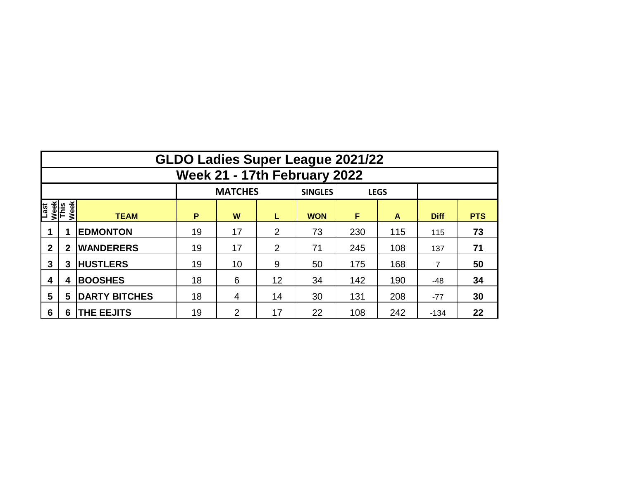|                              | <b>GLDO Ladies Super League 2021/22</b> |                      |          |                |    |                |     |             |                |            |  |  |  |  |  |
|------------------------------|-----------------------------------------|----------------------|----------|----------------|----|----------------|-----|-------------|----------------|------------|--|--|--|--|--|
|                              | Week 21 - 17th February 2022            |                      |          |                |    |                |     |             |                |            |  |  |  |  |  |
|                              |                                         |                      |          | <b>MATCHES</b> |    | <b>SINGLES</b> |     | <b>LEGS</b> |                |            |  |  |  |  |  |
| Last<br>Week<br>This<br>Week |                                         | <b>TEAM</b>          | P        | W              | L  | <b>WON</b>     | F   | A           | <b>Diff</b>    | <b>PTS</b> |  |  |  |  |  |
|                              |                                         | <b>EDMONTON</b>      | 19       | 17             |    | 73             | 230 | 115         | 115            | 73         |  |  |  |  |  |
| $\mathbf{2}$                 | 2                                       | <b>WANDERERS</b>     | 19<br>17 |                | 2  | 71             | 245 | 108         | 137            | 71         |  |  |  |  |  |
| 3                            | 3                                       | <b>HUSTLERS</b>      | 19       | 10             | 9  | 50             | 175 | 168         | $\overline{7}$ | 50         |  |  |  |  |  |
| 4                            | 4                                       | <b>BOOSHES</b>       | 18       | 6              | 12 | 34             | 142 | 190         | $-48$          | 34         |  |  |  |  |  |
| 5                            | 5                                       | <b>DARTY BITCHES</b> | 18       | 4              | 14 | 30             | 131 | 208         | $-77$          | 30         |  |  |  |  |  |
| 6                            | 6                                       | <b>THE EEJITS</b>    | 19       | 2              | 17 | 22             | 108 | 242         | $-134$         | 22         |  |  |  |  |  |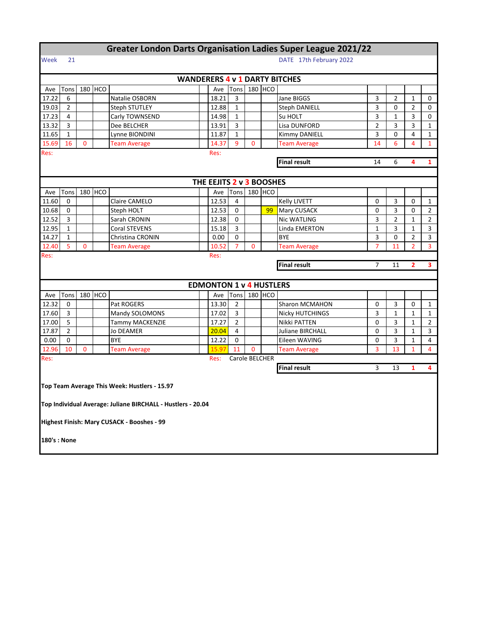| <b>Greater London Darts Organisation Ladies Super League 2021/22</b> |                                      |             |         |                                                             |  |                                |                |                |         |                                     |                |                |                |                |  |  |
|----------------------------------------------------------------------|--------------------------------------|-------------|---------|-------------------------------------------------------------|--|--------------------------------|----------------|----------------|---------|-------------------------------------|----------------|----------------|----------------|----------------|--|--|
| Week                                                                 | 21                                   |             |         |                                                             |  |                                |                |                |         | DATE 17th February 2022             |                |                |                |                |  |  |
|                                                                      | <b>WANDERERS 4 v 1 DARTY BITCHES</b> |             |         |                                                             |  |                                |                |                |         |                                     |                |                |                |                |  |  |
|                                                                      |                                      |             |         |                                                             |  |                                |                |                |         |                                     |                |                |                |                |  |  |
| Ave                                                                  | Tons                                 |             | 180 HCO |                                                             |  | Ave                            | Tons           |                | 180 HCO |                                     |                |                |                |                |  |  |
| 17.22                                                                | 6                                    |             |         | Natalie OSBORN                                              |  | 18.21                          | 3              |                |         | Jane BIGGS                          | 3              | 2              | 1              | 0              |  |  |
| 19.03                                                                | 2                                    |             |         | Steph STUTLEY                                               |  | 12.88                          | $\mathbf{1}$   |                |         | <b>Steph DANIELL</b>                | 3              | 0              | $\overline{2}$ | 0              |  |  |
| 17.23                                                                | 4                                    |             |         | Carly TOWNSEND                                              |  | 14.98                          | $\mathbf{1}$   |                |         | Su HOLT                             | 3              | $\mathbf{1}$   | 3              | 0              |  |  |
| 13.32                                                                | 3                                    |             |         | Dee BELCHER                                                 |  | 13.91                          | 3              |                |         | Lisa DUNFORD                        | $\overline{2}$ | 3              | 3              | $\mathbf{1}$   |  |  |
| 11.65                                                                | $\mathbf{1}$                         |             |         | Lynne BIONDINI                                              |  | 11.87                          | $\mathbf{1}$   |                |         | Kimmy DANIELL                       | 3              | 0              | $\overline{4}$ | $\mathbf{1}$   |  |  |
| 15.69                                                                | 16                                   | $\mathbf 0$ |         | <b>Team Average</b>                                         |  | 14.37                          | 9              | $\mathbf{0}$   |         | <b>Team Average</b>                 | 14             | 6              | $\overline{a}$ | $\mathbf{1}$   |  |  |
| Res:                                                                 |                                      |             |         |                                                             |  | Res:                           |                |                |         |                                     |                |                |                |                |  |  |
|                                                                      |                                      |             |         |                                                             |  |                                |                |                |         | <b>Final result</b><br>4<br>14<br>6 |                |                |                |                |  |  |
|                                                                      |                                      |             |         |                                                             |  |                                |                |                |         |                                     |                |                |                |                |  |  |
|                                                                      |                                      |             |         |                                                             |  | THE EEJITS 2 v 3 BOOSHES       |                |                |         |                                     |                |                |                |                |  |  |
| Ave                                                                  | Tons                                 |             | 180 HCO |                                                             |  | Ave                            | Tons           |                | 180 HCO |                                     |                |                |                |                |  |  |
| 11.60                                                                | 0                                    |             |         | Claire CAMELO                                               |  | 12.53                          | 4              |                |         | <b>Kelly LIVETT</b>                 | 0              | 3              | 0              | $\mathbf{1}$   |  |  |
| 10.68                                                                | 0                                    |             |         | Steph HOLT                                                  |  | 12.53                          | 0              |                | 99      | Mary CUSACK                         | 0              | 3              | 0              | $\overline{2}$ |  |  |
| 12.52                                                                | 3                                    |             |         | Sarah CRONIN                                                |  | 12.38                          | 0              |                |         | <b>Nic WATLING</b>                  | 3              | $\overline{2}$ | $\mathbf{1}$   | 2              |  |  |
| 12.95                                                                | $\mathbf{1}$                         |             |         | Coral STEVENS                                               |  | 15.18                          | 3              |                |         | Linda EMERTON                       | 1              | 3              | $\mathbf{1}$   | 3              |  |  |
| 14.27                                                                | $\mathbf{1}$                         |             |         | Christina CRONIN                                            |  | 0.00                           | $\Omega$       |                |         | <b>BYE</b>                          | 3              | $\Omega$       | $\overline{2}$ | 3              |  |  |
| 12.40                                                                | 5                                    | $\Omega$    |         | <b>Team Average</b>                                         |  | 10.52                          | $\overline{7}$ | $\mathbf{0}$   |         | <b>Team Average</b>                 | $\overline{7}$ | 11             | $\overline{2}$ | $\overline{3}$ |  |  |
| Res:                                                                 |                                      |             |         |                                                             |  | Res:                           |                |                |         |                                     |                |                |                |                |  |  |
| <b>Final result</b><br>7                                             |                                      |             |         |                                                             |  |                                |                |                |         |                                     | 11             | $\overline{2}$ | 3              |                |  |  |
|                                                                      |                                      |             |         |                                                             |  |                                |                |                |         |                                     |                |                |                |                |  |  |
|                                                                      |                                      |             |         |                                                             |  | <b>EDMONTON 1 v 4 HUSTLERS</b> |                |                |         |                                     |                |                |                |                |  |  |
| Ave                                                                  | Tons                                 |             | 180 HCO |                                                             |  | Ave                            | Tons           |                | 180 HCO |                                     |                |                |                |                |  |  |
| 12.32                                                                | 0                                    |             |         | Pat ROGERS                                                  |  | 13.30                          | $\overline{2}$ |                |         | Sharon MCMAHON                      | 0              | 3              | 0              | $\mathbf{1}$   |  |  |
| 17.60                                                                | 3                                    |             |         | Mandy SOLOMONS                                              |  | 17.02                          | 3              |                |         | <b>Nicky HUTCHINGS</b>              | 3              | $\mathbf{1}$   | $\mathbf{1}$   | 1              |  |  |
| 17.00                                                                | 5                                    |             |         | Tammy MACKENZIE                                             |  | 17.27                          | $\overline{2}$ |                |         | Nikki PATTEN                        | 0              | 3              | $\mathbf{1}$   | $\overline{2}$ |  |  |
| 17.87                                                                | $\overline{2}$                       |             |         | <b>Jo DEAMER</b>                                            |  | 20.04                          | 4              |                |         | <b>Juliane BIRCHALL</b>             | 0              | 3              | $\mathbf{1}$   | 3              |  |  |
| 0.00                                                                 | 0                                    |             |         | <b>BYE</b>                                                  |  | 12.22                          | $\mathbf 0$    |                |         | Eileen WAVING                       | 0              | 3              | $\mathbf{1}$   | 4              |  |  |
| 12.96                                                                | 10                                   | $\mathbf 0$ |         | <b>Team Average</b>                                         |  | 15.97                          | 11             | $\mathbf{0}$   |         | <b>Team Average</b>                 | 3              | 13             | $\mathbf{1}$   | 4              |  |  |
| Res:                                                                 |                                      |             |         |                                                             |  | Res:                           |                | Carole BELCHER |         |                                     |                |                |                |                |  |  |
|                                                                      |                                      |             |         |                                                             |  |                                |                |                |         | <b>Final result</b>                 | 3              | 13             | 1              | 4              |  |  |
|                                                                      |                                      |             |         |                                                             |  |                                |                |                |         |                                     |                |                |                |                |  |  |
|                                                                      |                                      |             |         | Top Team Average This Week: Hustlers - 15.97                |  |                                |                |                |         |                                     |                |                |                |                |  |  |
|                                                                      |                                      |             |         |                                                             |  |                                |                |                |         |                                     |                |                |                |                |  |  |
|                                                                      |                                      |             |         | Top Individual Average: Juliane BIRCHALL - Hustlers - 20.04 |  |                                |                |                |         |                                     |                |                |                |                |  |  |
|                                                                      |                                      |             |         |                                                             |  |                                |                |                |         |                                     |                |                |                |                |  |  |
|                                                                      |                                      |             |         | Highest Finish: Mary CUSACK - Booshes - 99                  |  |                                |                |                |         |                                     |                |                |                |                |  |  |
|                                                                      |                                      |             |         |                                                             |  |                                |                |                |         |                                     |                |                |                |                |  |  |
| 180's: None                                                          |                                      |             |         |                                                             |  |                                |                |                |         |                                     |                |                |                |                |  |  |